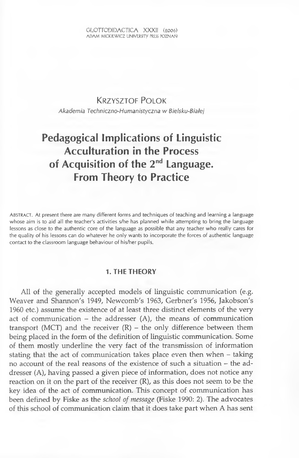## KRZYSZTOF POLOK

*Akademia Techniczno-Humanistyczna* w *Bielsku-Biatej*

# **Pedagogical Implications of Linguistic Acculturation in the Process of Acquisition of the 2nd Language. From Theory to Practice**

AB STRACT. At present there are many different forms and techniques of teaching and learning a language whose aim is to aid all the teacher's activities s/he has planned while attempting to bring the language lessons as close to the authentic core of the language as possible that any teacher who really cares for the quality of his lessons can do whatever he only wants to incorporate the forces of authentic language contact to the classroom language behaviour of his/her pupils.

### **1. THE THEORY**

Ail of the generally accepted models of linguistic communication (e.g. Weaver and Shannon's 1949, Newcomb's 1963, Gerbner's 1956, Jakobson's 1960 etc.) assume the existence of at least three distinct elements of the very act of communication  $-$  the addresser  $(A)$ , the means of communication transport (MCT) and the receiver  $(R)$  – the only difference between them being placed in the form of the définition of linguistic communication. Some of them mostly underline the very fact of the transmission of information stating that the act of communication takes place even then when - taking no account of the real reasons of the existence of such a situation - the addresser (A), having passed a given piece of information, does not notice any reaction on it on the part of the receiver (R), as this does not seem to be the key idea of the act of communication. This concept of communication has been defined by Fiske as the *school of message* (Fiske 1990: 2). The advocates of this school of communication claim that it does take part when A has sent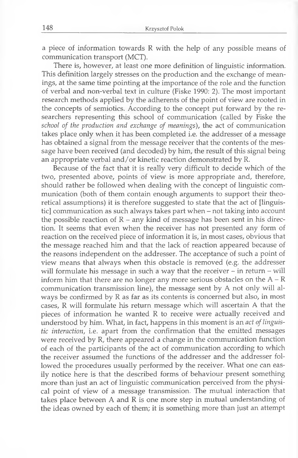a piece of information towards R with the help of any possible means of communication transport (MCT).

There is, however, at least one more définition of linguistic information. This définition largely stresses on the production and the exchange of meanings, at the same time pointing at the importance of the role and the function of verbal and non-verbal text in culture (Fiske 1990: 2). The most important research methods applied by the adherents of the point of view are rooted in the concepts of semiotics. According to the concept put forward by the researchers representing this school of communication (called by Fiske the *school of the production and exchange of meanings*), the act of communication takes place only when it has been completed i.e. the addresser of a message has obtained a signal from the message receiver that the contents of the message have been received (and decoded) by him, the resuit of this signal being an appropriate verbal and/or kinetic reaction demonstrated by R.

Because of the fact that it is really very difficult to decide which of the two, presented above, points of view is more appropriate and, therefore, should rather be followed when dealing with the concept of linguistic communication (both of them contain enough arguments to support their theoretical assumptions) it is therefore suggested to state that the act of [linguistic] communication as such always takes part when - not taking into account the possible reaction of  $R - any$  kind of message has been sent in his direction. It seems that even when the receiver has not presented any form of reaction on the received piece of information it is, in most cases, obvious that the message reached him and that the lack of reaction appeared because of the reasons independent on the addresser. The acceptance of such a point of view means that always when this obstacle is removed (e.g. the addresser will formulate his message in such a way that the receiver  $-$  in return  $-$  will inform him that there are no longer any more serious obstacles on the  $A - R$ communication transmission line), the message sent by A not only will always be confirmed by R as far as its contents is concerned but also, in most cases, R will formulate his return message which will ascertain A that the pieces of information he wanted R to receive were actually received and understood by him. What, in fact, happens in this moment is an *act of linguistic interaction,* i.e. apart from the confirmation that the emitted messages were received by R, there appeared a change in the communication function of each of the participants of the act of communication according to which the receiver assumed the functions of the addresser and the addresser followed the procedures usually performed by the receiver. What one can easily notice here is that the described forms of behaviour present something more than just an act of linguistic communication perceived from the physical point of view of a message transmission. The mutual interaction that takes place between A and R is one more step in mutual understanding of the ideas owned by each of them; it is something more than just an attempt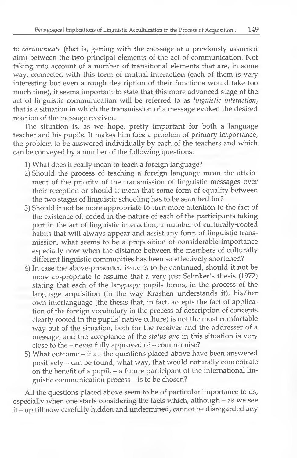to *communicate* (that is, getting with the message at a previously assumed aim) between the two principal elements of the act of communication. Not taking into account of a number of transitional elements that are, in some way, connected with this form of mutual interaction (each of them is very interesting but even a rough description of their functions would take too much time), it seems important to state that this more advanced stage of the act of linguistic communication will be referred to as *linguistic interaction,* that is a situation in which the transmission of a message evoked the desired reaction of the message receiver.

The situation is, as we hope, pretty important for both a language teacher and his pupils. It makes him face a problem of primary importance, the problem to be answered individually by each of the teachers and which can be conveyed by a number of the following questions:

- 1) What does it really mean to teach a foreign language?
- 2) Should the process of teaching a foreign language mean the attainment of the priority of the transmission of linguistic messages over their reception or should it mean that some form of equality between the two stages of linguistic schooling has to be searched for?
- 3) Should it not be more appropriate to turn more attention to the fact of the existence of, coded in the nature of each of the participants taking part in the act of linguistic interaction, a number of culturally-rooted habits that will always appear and assist any form of linguistic transmission, what seems to be a proposition of considerable importance especially now when the distance between the members of culturally différent linguistic communities has been so effectively shortened?
- 4) In case the above-presented issue is to be continued, should it not be more ap-propriate to assume that a very just Selinker's thesis (1972) stating that each of the language pupils forms, in the process of the language acquisition (in the way Krashen understands it), his/her own interlanguage (the thesis that, in fact, accepts the fact of application of the foreign vocabulary in the process of description of concepts clearly rooted in the pupils' native culture) is not the most comfortable way out of the situation, both for the receiver and the addresser of a message, and the acceptance of the *status quo* in this situation is very close to the – never fully approved of – compromise?
- 5) What outcome if ail the questions placed above have been answered positively – can be found, what way, that would naturally concentrate on the benefit of a pupil, – a future participant of the international linguistic communication process - is to be chosen?

Ail the questions placed above seem to be of particular importance to us, especially when one starts considering the facts which, although - as we see it - up till now carefully hidden and undermined, cannot be disregarded any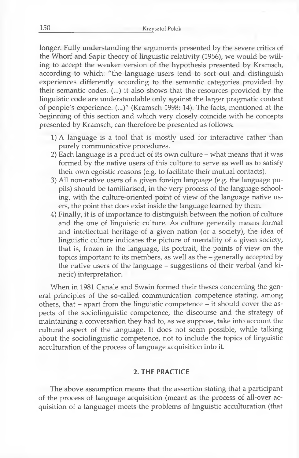longer. Fully understanding the arguments presented by the severe critics of the Whorf and Sapir theory of linguistic relativity (1956), we would be willing to accept the weaker version of the hypothesis presented by Kramsch, according to which: "the language users tend to sort out and distinguish experiences differently according to the semantic categories provided by their semantic codes. (...) it also shows that the resources provided by the linguistic code are understandable only against the larger pragmatic context of people's experience. (...)" (Kramsch 1998: 14). The facts, mentioned at the beginning of this section and which very closely coincide with he concepts presented by Kramsch, can therefore be presented as follows:

- 1) A language is a tool that is mostly used for interactive rather than purely communicative procédures.
- 2) Each language is a product of its own culture  $-$  what means that it was formed by the native users of this culture to serve as well as to satisfy their own egoistic reasons (e.g. to facilitate their mutual contacts).
- 3) Ail non-native users of a given foreign language (e.g. the language pupils) should be familiarised, in the very process of the language schooling, with the culture-oriented point of view of the language native users, the point that does exist inside the language learned by them.
- 4) Finally, it is of importance to distinguish between the notion of culture and the one of linguistic culture. As culture generally means formai and intellectual heritage of a given nation (or a society), the idea of linguistic culture indicates the picture of mentality of a given society, that is, frozen in the language, its portrait, the points of view on the topics important to its members, as well as the - generally accepted by the native users of the language - suggestions of their verbal (and kinetic) interpretation.

When in 1981 Canale and Swain formed their theses concerning the general principles of the so-called communication competence stating, among others, that - apart from the linguistic competence - it should cover the aspects of the sociolinguistic compétence, the discourse and the strategy of maintaining a conversation they had to, as we suppose, take into account the cultural aspect of the language. It does not seem possible, while talking about the sociolinguistic compétence, not to include the topics of linguistic acculturation of the process of language acquisition into it.

#### **2. THE PRACTICE**

The above assumption means that the assertion stating that a participant of the process of language acquisition (meant as the process of all-over acquisition of a language) meets the problems of linguistic acculturation (that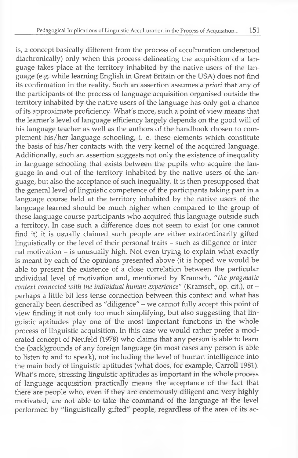is, a concept basically différent from the process of acculturation understood diachronically) only when this process delineating the acquisition of a language takes place at the territory inhabited by the native users of the language (e.g. while learning English in Great Britain or the USA) does not find its confirmation in the reality. Such an assertion assumes *a priori* that any of the participants of the process of language acquisition organised outside the territory inhabited by the native users of the language has only got a chance of its approximate proficiency. What's more, such a point of view means that the learner's level of language efficiency largely depends on the good will of his language teacher as well as the authors of the handbook chosen to complement his/her language schooling, i. e. these elements which constitute the basis of his/her contacts with the very kernel of the acquired language. Additionally, such an assertion suggests not only the existence of inequality in language schooling that exists between the pupils who acquire the language in and out of the territory inhabited by the native users of the language, but also the acceptance of such inequality. It is then presupposed that the general level of linguistic competence of the participants taking part in a language course held at the territory inhabited by the native users of the language learned should be much higher when compared to the group of these language course participants who acquired this language outside such a territory. In case such a différence does not seem to exist (or one cannot find it) it is usually claimed such people are either extraordinarily gifted linguistically or the level of their personal traits - such as diligence or internal motivation – is unusually high. Not even trying to explain what exactly is meant by each of the opinions presented above (it is hoped we would be able to present the existence of a close correlation between the particular individual level of motivation and, mentioned by Kramsch, *"the pragmatic context connected with the individual human experience"* (Kramsch, op. cit.), or perhaps a little bit less tense connection between this context and what has generally been described as "diligence" - we cannot fully accept this point of view finding it not only too much simplifying, but also suggesting that linguistic aptitudes play one of the most important functions in the whole process of linguistic acquisition. In this case we would rather prefer a moderated concept of Neufeld (1978) who claims that any person is able to learn the (back)grounds of any foreign language (in most cases any person is able to listen to and to speak), not including the level of human intelligence into the main body of linguistic aptitudes (what does, for example, Carroll 1981). What's more, stressing linguistic aptitudes as important in the whole process of language acquisition practically means the acceptance of the fact that there are people who, even if they are enormously diligent and very highly motivated, are not able to take the command of the language at the level performed by "linguistically gifted" people, regardless of the area of its ac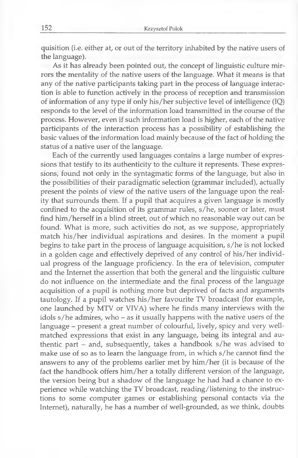quisition (i.e. either at, or out of the territory inhabited by the native users of the language).

As it has already been pointed out, the concept of linguistic culture mirrors the mentality of the native users of the language. What it means is that any of the native participants taking part in the process of language interaction is able to function actively in the process of reception and transmission of information of any type if only his/her subjective level of intelligence (IQ) responds to the level of the information load transmitted in the course of the process. However, even if such information load is higher, each of the native participants of the interaction process has a possibility of establishing the basic values of the information load mainly because of the fact of holding the status of a native user of the language.

Each of the currently used languages contains a large number of expressions that testify to its authenticity to the culture it represents. These expressions, found not only in the syntagmatic forms of the language, but also in the possibilities of their paradigmatic selection (grammar included), actually present the points of view of the native users of the language upon the reality that surrounds them. If a pupil that acquires a given language is mostly confined to the acquisition of its grammar rules, s/he, sooner or later, must find him /herself in a blind Street, out of which no reasonable way out can be found. What is more, such activities do not, as we suppose, appropriately match his/her individual aspirations and desires. In the moment a pupil begins to take part in the process of language acquisition, s/he is not locked in a golden cage and effectively deprived of any control of his/her individual progress of the language proficiency. In the era of television, computer and the Internet the assertion that both the general and the linguistic culture do not influence on the intermediate and the final process of the language acquisition of a pupil is nothing more but deprived of facts and arguments tautology. If a pupil watches his/her favourite TV broadcast (for example, one launched by MTV or VIVA) where he finds many interviews with the idols s/he admires, who - as it usually happens with the native users of the language - present a great number of colourful, lively, spicy and very wellmatched expressions that exist in any language, being its integral and authentic part - and, subsequently, takes a handbook s/he was advised to make use of so as to learn the language from, in which s/he cannot find the answers to any of the problems earlier met by him /her (it is because of the fact the handbook offers him/her a totally different version of the language, the version being but a shadow of the language he had had a chance to experience while watching the TV broadcast, reading/listening to the instructions to some computer games or establishing personal contacts via the Internet), naturally, he has a number of well-grounded, as we think, doubts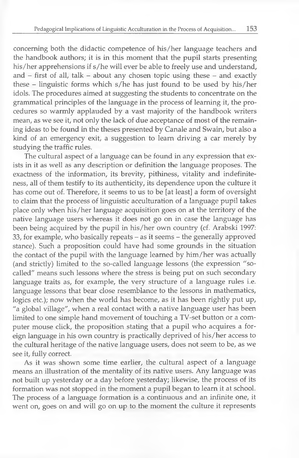conceming both the didactic compétence of his/her language teachers and the handbook authors; it is in this moment that the pupil starts presenting his/her apprehensions if s/he will ever be able to freely use and understand, and  $-$  first of all, talk  $-$  about any chosen topic using these  $-$  and exactly these - linguistic forms which s/he has just found to be used by his/her idols. The procédures aimed at suggesting the students to concentrate on the grammatical principles of the language in the process of learning it, the procedures so warmly applauded by a vast majority of the handbook writers mean, as we see it, not only the lack of due acceptance of most of the remaining ideas to be found in the theses presented by Canale and Swain, but also a kind of an emergency exit, a suggestion to learn driving a car merely by studying the traffic rules.

The cultural aspect of a language can be found in any expression that exists in it as well as any description or définition the language proposes. The exactness of the information, its brevity, pithiness, vitality and indefiniteness, ail of them testify to its authenticity, its dependence upon the culture it has come out of. Therefore, it seems to us to be [at least] a form of oversight to daim that the process of linguistic acculturation of a language pupil takes place only when his/her language acquisition goes on at the territory of the native language users whereas it does not go on in case the language has been being acquired by the pupil in his/her own country (cf. Arabski 1997: 33, for example, who basically repeats - as it seems - the generally approved stance). Such a proposition could have had some grounds in the situation the contact of the pupil with the language learned by him /her was actually (and strictly) limited to the so-called language lessons (the expression "socalled" means such lessons where the stress is being put on such secondary language traits as, for example, the very structure of a language rules i.e. language lessons that bear close resemblance to the lessons in mathematics, logics etc.); now when the world has become, as it has been rightly put up, "a global village", when a real contact with a native language user has been limited to one simple hand movement of touching a TV-set button or a computer mouse click, the proposition stating that a pupil who acquires a foreign language in his own country is practically deprived of his/her access to the cultural heritage of the native language users, does not seem to be, as we see it, fully correct.

As it was shown some time earlier, the cultural aspect of a language means an illustration of the mentality of its native users. Any language was not built up yesterday or a day before yesterday; likewise, the process of its formation was not stopped in the moment a pupil began to learn it at school. The process of a language formation is a continuous and an infinité one, it went on, goes on and will go on up to the moment the culture it represents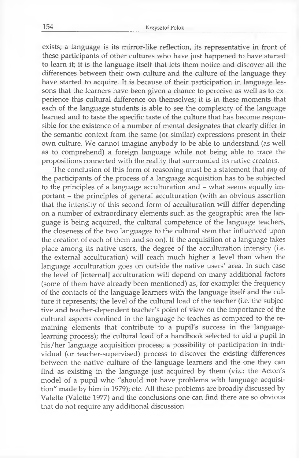exists; a language is its mirror-like reflection, its representative in front of these participants of other cultures who have just happened to have started to learn it; it is the language itself that lets them notice and discover ail the différences between their own culture and the culture of the language they have started to acquire. It is because of their participation in language lessons that the learners have been given a chance to perceive as well as to experience this cultural différence on themselves; it is in these moments that each of the language students is able to see the complexity of the language learned and to taste the specific taste of the culture that has become responsible for the existence of a number of mental designates that clearly differ in the semantic context from the same (or similar) expressions present in their own culture. We cannot imagine anybody to be able to understand (as well as to comprehend) a foreign language while not being able to trace the propositions connected with the reality that surrounded its native creators.

The conclusion of this form of reasoning must be a statement that *any* of the participants of the process of a language acquisition has to be subjected to the principles of a language acculturation and – what seems equally important - the principles of general acculturation (with an obvious assertion that the intensity of this second form of acculturation will differ depending on a number of extraordinary elements such as the geographic area the language is being acquired, the cultural compétence of the language teachers, the closeness of the two languages to the cultural stem that influenced upon the creation of each of them and so on). If the acquisition of a language takes place among its native users, the degree of the acculturation intensity (i.e. the external acculturation) will reach much higher a level than when the language acculturation goes on outside the native users' area. In such case the level of [internai] acculturation will depend on many additional factors (some of them have already been mentioned) as, for example: the frequency of the contacts of the language learners with the language itself and the culture it represents; the level of the cultural load of the teacher (i.e. the subjective and teacher-dependent teacher's point of view on the importance of the cultural aspects confined in the language he teaches as compared to the remaining elements that contribute to a pupil's success in the languagelearning process); the cultural load of a handbook selected to aid a pupil in his/her language acquisition process; a possibility of participation in individual (or teacher-supervised) process to discover the existing différences between the native culture of the language learners and the one they can find as existing in the language just acquired by them (viz.: the Acton's model of a pupil who "should not have problems with language acquisition" made by him in 1979); etc. Ail these problems are broadly discussed by Valette (Valette 1977) and the conclusions one can find there are so obvious that do not require any additional discussion.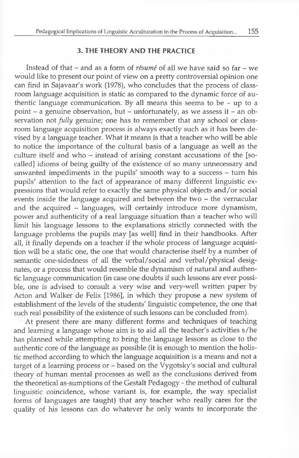## **3. THE THEORY AND THE PRACTICE**

Instead of that – and as a form of *résumé* of all we have said so far – we would like to present our point of view on a pretty controversial opinion one can find in Sajavaar's work (1978), who concludes that the process of classroom language acquisition is static as compared to the dynamic force of authentic language communication. By ail means this seems to be - up to a point – a genuine observation, but – unfortunately, as we assess it – an observation not *fully* genuine; one has to remember that any school or classroom language acquisition process is always exactly such as it has been devised by a language teacher. What it means is that a teacher who will be able to notice the importance of the cultural basis of a language as weil as the culture itself and who – instead of arising constant accusations of the [socalled] idioms of being guilty of the existence of so many unnecessary and unwanted impediments in the pupils' smooth way to a success – turn his pupils' attention to the fact of appearance of many différent linguistic expressions that would refer to exactly the same physical objects and/or social events inside the language acquired and between the two – the vernacular and the acquired - languages, will certainly introduce more dynamism, power and authenticity of a real language situation than a teacher who will limit his language lessons to the explanations strictly connected with the language problems the pupils may [as well] find in their handbooks. After ail, it finally depends on a teacher if the whole process of language acquisition will be a static one, the one that would characterise itself by a number of semantic one-sidedness of ail the verbal/social and verbal/physical désignates, or a process that would resemble the dynamism of natural and authentic language communication (in case one doubts if such lessons are ever possible, one is advised to consult a very wise and very-well written paper by Acton and Walker de Félix [1986], in which they propose a new system of establishment of the levels of the students' linguistic compétence, the one that such real possibility of the existence of such lessons can be concluded from).

At present there are many different forms and techniques of teaching and learning a language whose aim is to aid all the teacher's activities s/he has planned while attempting to bring the language lessons as close to the authentic core of the language as possible (it is enough to mention the holistic method according to which the language acquisition is a means and not a target of a learning process or - based on the Vygotsky's social and cultural theory of human mental processes as weil as the conclusions derived from the theoretical as-sumptions of the Gestalt Pedagogy - the method of cultural linguistic coincidence, whose variant is, for example, the way specialist forms of languages are taught) that any teacher who really cares for the quality of his lessons can do whatever he only wants to incorporate the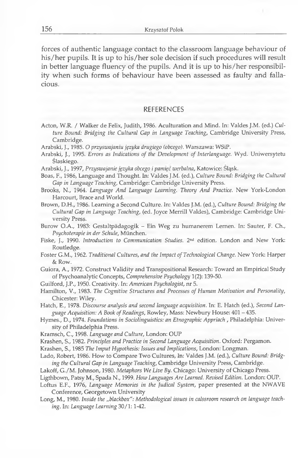forces of aufhentic language contact to the classroom language behaviour of his/her pupils. It is up to his/her sole decision if such procedures will result in better language fluency of the pupils. And it is up to his/her responsibility when such forms of behaviour have been assessed as faulty and fallacious.

#### **REFERENCES**

- **Acton, W.R. / Walker de Félix, Judith, 1986. Aculturation and Mind. In: Valdes J.M. (ed.)** *Culture Bound: Bridging the Cultural Gap in Language Teaching,* **Cambridge University Press, Cambridge.**
- **Arabski, J., 1985.** *О przyswajaniu jçzyka drugiego (obcego).* **Warszawa: WSiP.**
- **Arabski, J., 1995.** *Errors as Indications of the Development of Interlanguage.* **Wyd. Uniwersytetu élaskiego.**
- **Arabski, J., 1997,** *Przyswajanie jçzyka obcego i pamiçc werbalna,* **Katowice: Slqsk.**
- **Boas, F., 1986, Language and Thought. In: Valdes J.M. (éd.),** *Culture Bound: Bridging the Cultural Gap in Language Teaching,* **Cambridge: Cambridge University Press.**
- **Brooks, N., 1964.** *Language A nd Language Leaming. Theory And Practice.* **New York-London Harcourt, Brace and World.**
- **Brown, D.H., 1986. Leaming a Second Culture. In: Valdes J.M. (éd.),** *Culture Bound: Bridging the Cultural Gap in Language Teaching,* **(ed. Joyce Merrill Valdes), Cambridge: Cambridge University Press.**

**Burow O.A., 1983: Gestaltpâdagogik - Ein Weg zu humanerem Lemen. In: Sauter, F. Ch.,** *Psychoterapie in der Schule,* **München.**

**Fiske, J., 1990.** *Introduction to Communication Studies.* **2nd édition. London and New York: Routledge.**

**Foster G.M., 1962.** *Traditional Cultures, and the Impact ofTechnological Change.* **New York: Harper & Row.**

**Guiora, A., 1972. Construct Validity and Transpositional Research: Toward an Empirical Study of Psychoanalytic Concepts,** *Comprehensive Psychology* **1(2): 139-50.**

**Guilford, J.P., 1950. Creativity. In:** *American Psychologist,* **nr 5.**

Hamilton, V., 1983. The Cognitive Structures and Processes of Human Motivation and Personality, **Chicester: Wiley.**

**Hatch, E., 1978.** *Discourse analysis and second language acquisition.* **In: E. Hatch (éd.),** *Second Language Acquisition: A Book of Readings,* **Rowley, Mass: Newbury House: 401 - 435.**

- **Hymes., D., 1974.** *Foundations in Sociolinguistics: an Etnographic Appriach ,* **Philadelphie: University of Philadelphie Press.**
- **Kramsch, C., 1998.** *Language and Culture,* **London: OUP**

**Krashen, S., 1982.** *Principles and Practice in Second Language Acquisition.* **Oxford: Pergamon.**

**Krashen, S., 1985** *The Imput Hypothesis: Issues and Implications,* **London: Longman.**

Lado, Robert, 1986. How to Compare Two Cultures, In: Valdes J.M. (ed.), Culture Bound: Bridg*ing the Cultural Gap in Language Teaching,* **Cambridge University Press, Cambridge.**

**Lakoff, G./M. Johnson, 1980.** *Metaphors We Live By.* **Chicago: University of Chicago Press.**

**Ligthbown, Patsy М., Spada N., 1999.** *How Languages Are Leamed. Revised Edition.* **London: OUP.**

**Loftus E.F., 1976,** *Language Memories in the Judical System,* **paper presented at the NWAVE Conférence, Georgetown University**

**Long, М., 1980.** *Inside the "blackbox": Methodological issues in calssroom research on language teaching.* In: *Language Learning* 30/1: 1-42.